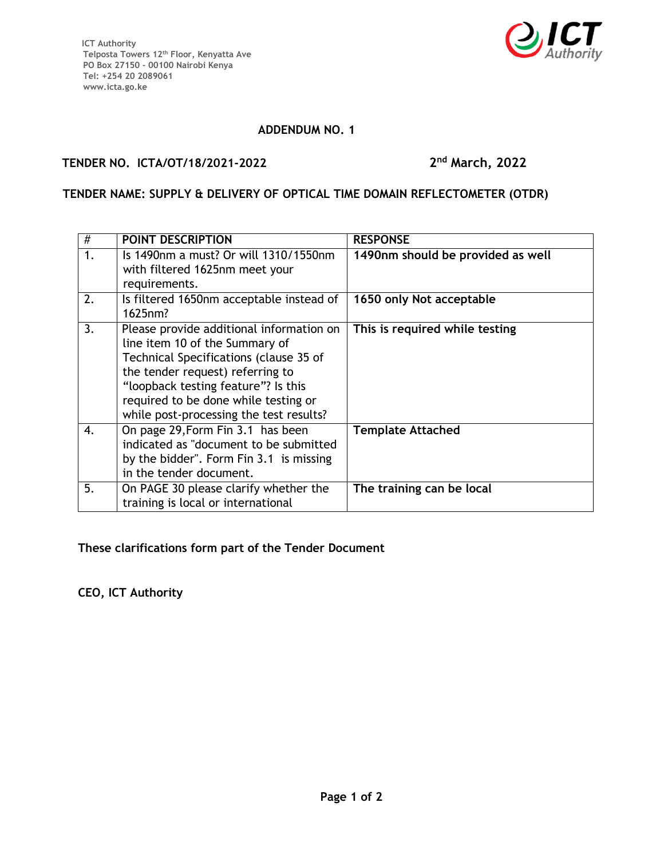

#### **ADDENDUM NO. 1**

### **TENDER NO. ICTA/OT/18/2021-2022 2**

# **nd March, 2022**

## **TENDER NAME: SUPPLY & DELIVERY OF OPTICAL TIME DOMAIN REFLECTOMETER (OTDR)**

| #  | POINT DESCRIPTION                                                                                                                                                                                                                                                                  | <b>RESPONSE</b>                   |
|----|------------------------------------------------------------------------------------------------------------------------------------------------------------------------------------------------------------------------------------------------------------------------------------|-----------------------------------|
| 1. | Is 1490nm a must? Or will 1310/1550nm<br>with filtered 1625nm meet your<br>requirements.                                                                                                                                                                                           | 1490nm should be provided as well |
| 2. | Is filtered 1650nm acceptable instead of<br>1625nm?                                                                                                                                                                                                                                | 1650 only Not acceptable          |
| 3. | Please provide additional information on<br>line item 10 of the Summary of<br>Technical Specifications (clause 35 of<br>the tender request) referring to<br>"loopback testing feature"? Is this<br>required to be done while testing or<br>while post-processing the test results? | This is required while testing    |
| 4. | On page 29, Form Fin 3.1 has been<br>indicated as "document to be submitted<br>by the bidder". Form Fin 3.1 is missing<br>in the tender document.                                                                                                                                  | <b>Template Attached</b>          |
| 5. | On PAGE 30 please clarify whether the<br>training is local or international                                                                                                                                                                                                        | The training can be local         |

**These clarifications form part of the Tender Document**

**CEO, ICT Authority**